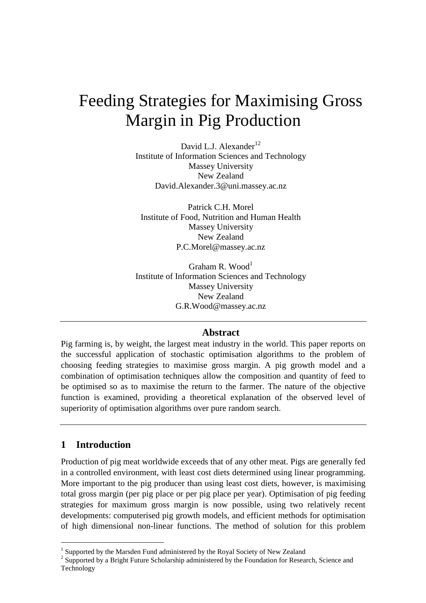# Feeding Strategies for Maximising Gross Margin in Pig Production

David L.J. Alexander<sup>12</sup> Institute of Information Sciences and Technology Massey University New Zealand David.Alexander.3@uni.massey.ac.nz

Patrick C.H. Morel Institute of Food, Nutrition and Human Health Massey University New Zealand P.C.Morel@massey.ac.nz

Graham R. Wood<sup>1</sup> Institute of Information Sciences and Technology Massey University New Zealand G.R.Wood@massey.ac.nz

### **Abstract**

Pig farming is, by weight, the largest meat industry in the world. This paper reports on the successful application of stochastic optimisation algorithms to the problem of choosing feeding strategies to maximise gross margin. A pig growth model and a combination of optimisation techniques allow the composition and quantity of feed to be optimised so as to maximise the return to the farmer. The nature of the objective function is examined, providing a theoretical explanation of the observed level of superiority of optimisation algorithms over pure random search.

## **1 Introduction**

 $\overline{a}$ 

Production of pig meat worldwide exceeds that of any other meat. Pigs are generally fed in a controlled environment, with least cost diets determined using linear programming. More important to the pig producer than using least cost diets, however, is maximising total gross margin (per pig place or per pig place per year). Optimisation of pig feeding strategies for maximum gross margin is now possible, using two relatively recent developments: computerised pig growth models, and efficient methods for optimisation of high dimensional non-linear functions. The method of solution for this problem

<sup>&</sup>lt;sup>1</sup> Supported by the Marsden Fund administered by the Royal Society of New Zealand

<sup>&</sup>lt;sup>2</sup> Supported by a Bright Future Scholarship administered by the Foundation for Research, Science and Technology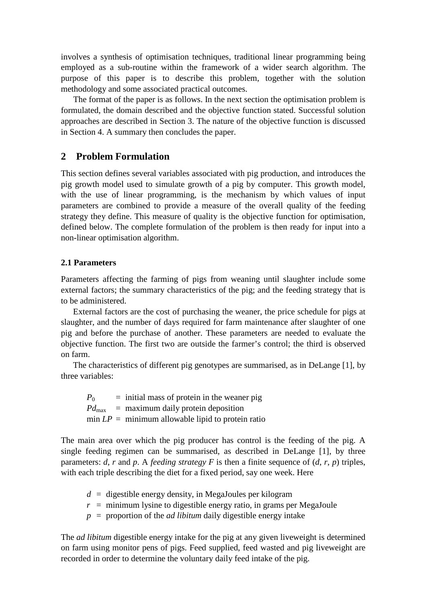involves a synthesis of optimisation techniques, traditional linear programming being employed as a sub-routine within the framework of a wider search algorithm. The purpose of this paper is to describe this problem, together with the solution methodology and some associated practical outcomes.

The format of the paper is as follows. In the next section the optimisation problem is formulated, the domain described and the objective function stated. Successful solution approaches are described in Section 3. The nature of the objective function is discussed in Section 4. A summary then concludes the paper.

## **2 Problem Formulation**

This section defines several variables associated with pig production, and introduces the pig growth model used to simulate growth of a pig by computer. This growth model, with the use of linear programming, is the mechanism by which values of input parameters are combined to provide a measure of the overall quality of the feeding strategy they define. This measure of quality is the objective function for optimisation, defined below. The complete formulation of the problem is then ready for input into a non-linear optimisation algorithm.

#### **2.1 Parameters**

Parameters affecting the farming of pigs from weaning until slaughter include some external factors; the summary characteristics of the pig; and the feeding strategy that is to be administered.

External factors are the cost of purchasing the weaner, the price schedule for pigs at slaughter, and the number of days required for farm maintenance after slaughter of one pig and before the purchase of another. These parameters are needed to evaluate the objective function. The first two are outside the farmer's control; the third is observed on farm.

The characteristics of different pig genotypes are summarised, as in DeLange [1], by three variables:

| $P_0$ | $=$ initial mass of protein in the weaner pig             |
|-------|-----------------------------------------------------------|
|       | $Pd_{\text{max}}$ = maximum daily protein deposition      |
|       | $\min LP = \min$ minimum allowable lipid to protein ratio |

The main area over which the pig producer has control is the feeding of the pig. A single feeding regimen can be summarised, as described in DeLange [1], by three parameters: *d*, *r* and *p*. A *feeding strategy F* is then a finite sequence of (*d*, *r*, *p*) triples, with each triple describing the diet for a fixed period, say one week. Here

- $d =$  digestible energy density, in MegaJoules per kilogram
- $r =$  minimum lysine to digestible energy ratio, in grams per MegaJoule
- $p =$  proportion of the *ad libitum* daily digestible energy intake

The *ad libitum* digestible energy intake for the pig at any given liveweight is determined on farm using monitor pens of pigs. Feed supplied, feed wasted and pig liveweight are recorded in order to determine the voluntary daily feed intake of the pig.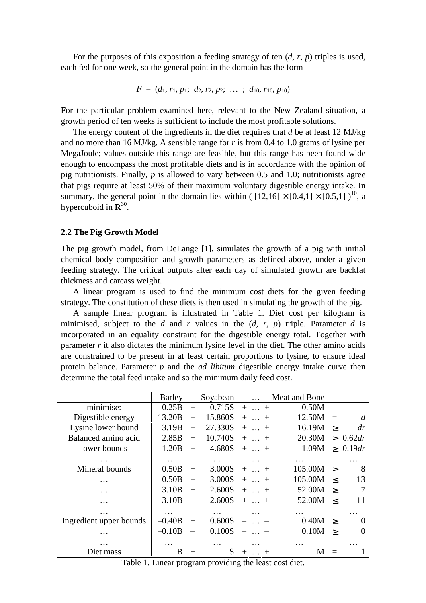For the purposes of this exposition a feeding strategy of ten (*d*, *r*, *p*) triples is used, each fed for one week, so the general point in the domain has the form

$$
F = (d_1, r_1, p_1; d_2, r_2, p_2; \ldots; d_{10}, r_{10}, p_{10})
$$

For the particular problem examined here, relevant to the New Zealand situation, a growth period of ten weeks is sufficient to include the most profitable solutions.

The energy content of the ingredients in the diet requires that *d* be at least 12 MJ/kg and no more than 16 MJ/kg. A sensible range for *r* is from 0.4 to 1.0 grams of lysine per MegaJoule; values outside this range are feasible, but this range has been found wide enough to encompass the most profitable diets and is in accordance with the opinion of pig nutritionists. Finally, *p* is allowed to vary between 0.5 and 1.0; nutritionists agree that pigs require at least 50% of their maximum voluntary digestible energy intake. In summary, the general point in the domain lies within (  $[12,16] \times [0.4,1] \times [0.5,1]$  )<sup>10</sup>, a hypercuboid in **R** 30 .

#### **2.2 The Pig Growth Model**

The pig growth model, from DeLange [1], simulates the growth of a pig with initial chemical body composition and growth parameters as defined above, under a given feeding strategy. The critical outputs after each day of simulated growth are backfat thickness and carcass weight.

A linear program is used to find the minimum cost diets for the given feeding strategy. The constitution of these diets is then used in simulating the growth of the pig.

A sample linear program is illustrated in Table 1. Diet cost per kilogram is minimised, subject to the *d* and *r* values in the (*d*, *r*, *p*) triple. Parameter *d* is incorporated in an equality constraint for the digestible energy total. Together with parameter *r* it also dictates the minimum lysine level in the diet. The other amino acids are constrained to be present in at least certain proportions to lysine, to ensure ideal protein balance. Parameter *p* and the *ad libitum* digestible energy intake curve then determine the total feed intake and so the minimum daily feed cost.

|                         | Barley            |        | Soyabean | $\cdots$                     | Meat and Bone |          |                |
|-------------------------|-------------------|--------|----------|------------------------------|---------------|----------|----------------|
| minimise:               | 0.25B             | $+$    | 0.715S   | $+  +$                       | 0.50M         |          |                |
| Digestible energy       | 13.20B            | $+$    | 15.860S  | $+$ +                        | 12.50M        | $\equiv$ | d              |
| Lysine lower bound      | 3.19B             | $+$    | 27.330S  | $+  +$                       | 16.19M        | $\rm{>}$ | dr             |
| Balanced amino acid     | 2.85B             | $+$    | 10.740S  | $+$ $+$                      | 20.30M        |          | $\geq 0.62 dr$ |
| lower bounds            | 1.20B             | $+$    | 4.680S   | $+  +$                       | 1.09M         |          | $\geq 0.19dr$  |
| $\cdot\cdot\cdot$       | $\cdots$          |        |          |                              | .             |          | .              |
| Mineral bounds          | 0.50B             | $^{+}$ | 3.000S   | $+$ $+$                      | 105.00M       | $\geq$   | 8              |
| .                       | 0.50B             | $^{+}$ | 3.000S   | $+  +$                       | 105.00M       | $\,<\,$  | 13             |
| .                       | 3.10 <sub>B</sub> | $+$    | 2.600S   | $+$ $+$                      | 52.00M        | $\geq$   | 7              |
|                         | 3.10 <sub>B</sub> | $+$    | 2.600S   | $+  +$                       | 52.00M        | $\,<\,$  | 11             |
|                         | .                 |        | .        | .                            | .             |          | $\cdot$        |
| Ingredient upper bounds | $-0.40B$          | $^{+}$ | 0.600S   |                              | 0.40M         | $\geq$   | $\Omega$       |
| .                       | $-0.10B$          |        | 0.100S   |                              | 0.10M         | $\geq$   | $\Omega$       |
|                         | .                 |        |          |                              |               |          |                |
| Diet mass               | B                 | $^{+}$ | S        | $^{+}$<br>$^{+}$<br>$\ddots$ |               |          |                |

Table 1. Linear program providing the least cost diet.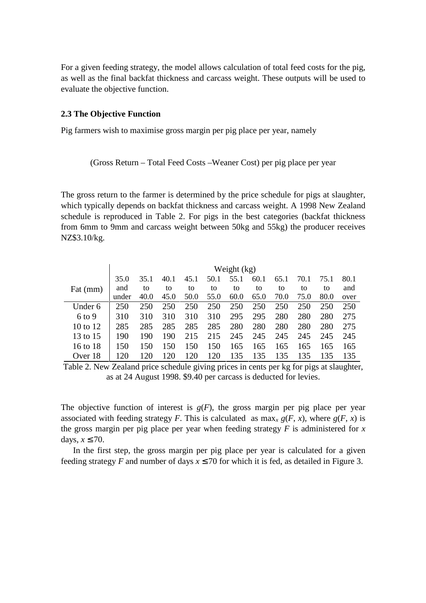For a given feeding strategy, the model allows calculation of total feed costs for the pig, as well as the final backfat thickness and carcass weight. These outputs will be used to evaluate the objective function.

#### **2.3 The Objective Function**

Pig farmers wish to maximise gross margin per pig place per year, namely

(Gross Return – Total Feed Costs –Weaner Cost) per pig place per year

The gross return to the farmer is determined by the price schedule for pigs at slaughter, which typically depends on backfat thickness and carcass weight. A 1998 New Zealand schedule is reproduced in Table 2. For pigs in the best categories (backfat thickness from 6mm to 9mm and carcass weight between 50kg and 55kg) the producer receives NZ\$3.10/kg.

|          | Weight (kg) |      |      |      |      |      |      |      |      |      |      |
|----------|-------------|------|------|------|------|------|------|------|------|------|------|
|          | 35.0        | 35.1 | 40.1 | 45.1 | 50.1 | 55.1 | 60.1 | 65.1 | 70.1 | 75.1 | 80.1 |
| Fat (mm) | and         | to   | to   | to   | to   | to   | to   | to   | to   | to   | and  |
|          | under       | 40.0 | 45.0 | 50.0 | 55.0 | 60.0 | 65.0 | 70.0 | 75.0 | 80.0 | over |
| Under 6  | 250         | 250  | 250  | 250  | 250  | 250  | 250  | 250  | 250  | 250  | 250  |
| $6$ to 9 | 310         | 310  | 310  | 310  | 310  | 295  | 295  | 280  | 280  | 280  | 275  |
| 10 to 12 | 285         | 285  | 285  | 285  | 285  | 280  | 280  | 280  | 280  | 280  | 275  |
| 13 to 15 | 190         | 190  | 190  | 215  | 215  | 245  | 245  | 245  | 245  | 245  | 245  |
| 16 to 18 | 150         | 150  | 150  | 150  | 150  | 165  | 165  | 165  | 165  | 165  | 165  |
| Over 18  |             |      |      | 120  | 120  | 135  | 135  | 135  | 135  | 135  | 135  |

Table 2. New Zealand price schedule giving prices in cents per kg for pigs at slaughter, as at 24 August 1998. \$9.40 per carcass is deducted for levies.

The objective function of interest is  $g(F)$ , the gross margin per pig place per year associated with feeding strategy *F*. This is calculated as  $\max_{x} g(F, x)$ , where  $g(F, x)$  is the gross margin per pig place per year when feeding strategy  $F$  is administered for  $x$ days,  $x \le 70$ .

In the first step, the gross margin per pig place per year is calculated for a given feeding strategy *F* and number of days  $x \le 70$  for which it is fed, as detailed in Figure 3.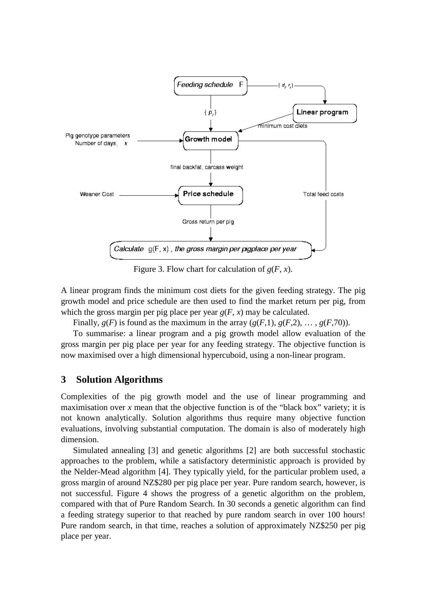

Figure 3. Flow chart for calculation of  $g(F, x)$ .

A linear program finds the minimum cost diets for the given feeding strategy. The pig growth model and price schedule are then used to find the market return per pig, from which the gross margin per pig place per year  $g(F, x)$  may be calculated.

Finally,  $g(F)$  is found as the maximum in the array  $(g(F,1), g(F,2), \ldots, g(F,70))$ .

To summarise: a linear program and a pig growth model allow evaluation of the gross margin per pig place per year for any feeding strategy. The objective function is now maximised over a high dimensional hypercuboid, using a non-linear program.

## **3 Solution Algorithms**

Complexities of the pig growth model and the use of linear programming and maximisation over x mean that the objective function is of the "black box" variety; it is not known analytically. Solution algorithms thus require many objective function evaluations, involving substantial computation. The domain is also of moderately high dimension.

Simulated annealing [3] and genetic algorithms [2] are both successful stochastic approaches to the problem, while a satisfactory deterministic approach is provided by the Nelder-Mead algorithm [4]. They typically yield, for the particular problem used, a gross margin of around NZ\$280 per pig place per year. Pure random search, however, is not successful. Figure 4 shows the progress of a genetic algorithm on the problem, compared with that of Pure Random Search. In 30 seconds a genetic algorithm can find a feeding strategy superior to that reached by pure random search in over 100 hours! Pure random search, in that time, reaches a solution of approximately NZ\$250 per pig place per year.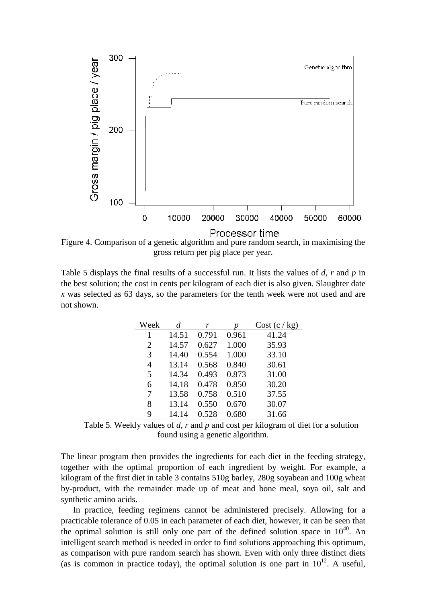

Figure 4. Comparison of a genetic algorithm and pure random search, in maximising the gross return per pig place per year.

Table 5 displays the final results of a successful run. It lists the values of *d*, *r* and *p* in the best solution; the cost in cents per kilogram of each diet is also given. Slaughter date *x* was selected as 63 days, so the parameters for the tenth week were not used and are not shown.

| Week           | d     | r     | p     | Cost (c/kg) |
|----------------|-------|-------|-------|-------------|
| 1              | 14.51 | 0.791 | 0.961 | 41.24       |
| 2              | 14.57 | 0.627 | 1.000 | 35.93       |
| 3              | 14.40 | 0.554 | 1.000 | 33.10       |
| $\overline{4}$ | 13.14 | 0.568 | 0.840 | 30.61       |
| 5              | 14.34 | 0.493 | 0.873 | 31.00       |
| 6              | 14.18 | 0.478 | 0.850 | 30.20       |
| 7              | 13.58 | 0.758 | 0.510 | 37.55       |
| 8              | 13.14 | 0.550 | 0.670 | 30.07       |
| 9              | 14.14 | 0.528 | 0.680 | 31.66       |

Table 5. Weekly values of *d*, *r* and *p* and cost per kilogram of diet for a solution found using a genetic algorithm.

The linear program then provides the ingredients for each diet in the feeding strategy, together with the optimal proportion of each ingredient by weight. For example, a kilogram of the first diet in table 3 contains 510g barley, 280g soyabean and 100g wheat by-product, with the remainder made up of meat and bone meal, soya oil, salt and synthetic amino acids.

In practice, feeding regimens cannot be administered precisely. Allowing for a practicable tolerance of 0.05 in each parameter of each diet, however, it can be seen that the optimal solution is still only one part of the defined solution space in  $10^{40}$ . An intelligent search method is needed in order to find solutions approaching this optimum, as comparison with pure random search has shown. Even with only three distinct diets (as is common in practice today), the optimal solution is one part in  $10^{12}$ . A useful,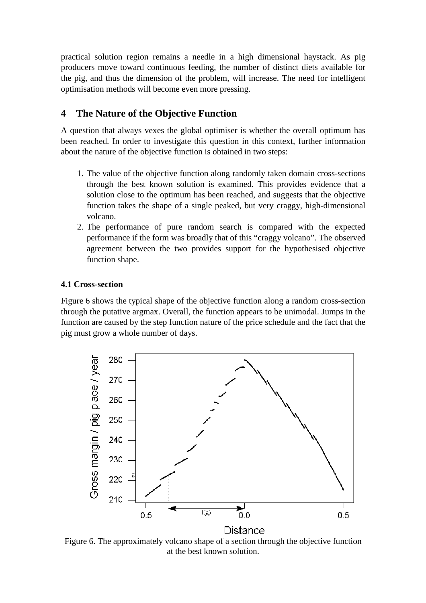practical solution region remains a needle in a high dimensional haystack. As pig producers move toward continuous feeding, the number of distinct diets available for the pig, and thus the dimension of the problem, will increase. The need for intelligent optimisation methods will become even more pressing.

# **4 The Nature of the Objective Function**

A question that always vexes the global optimiser is whether the overall optimum has been reached. In order to investigate this question in this context, further information about the nature of the objective function is obtained in two steps:

- 1. The value of the objective function along randomly taken domain cross-sections through the best known solution is examined. This provides evidence that a solution close to the optimum has been reached, and suggests that the objective function takes the shape of a single peaked, but very craggy, high-dimensional volcano.
- 2. The performance of pure random search is compared with the expected performance if the form was broadly that of this "craggy volcano". The observed agreement between the two provides support for the hypothesised objective function shape.

## **4.1 Cross-section**

Figure 6 shows the typical shape of the objective function along a random cross-section through the putative argmax. Overall, the function appears to be unimodal. Jumps in the function are caused by the step function nature of the price schedule and the fact that the pig must grow a whole number of days.



Figure 6. The approximately volcano shape of a section through the objective function at the best known solution.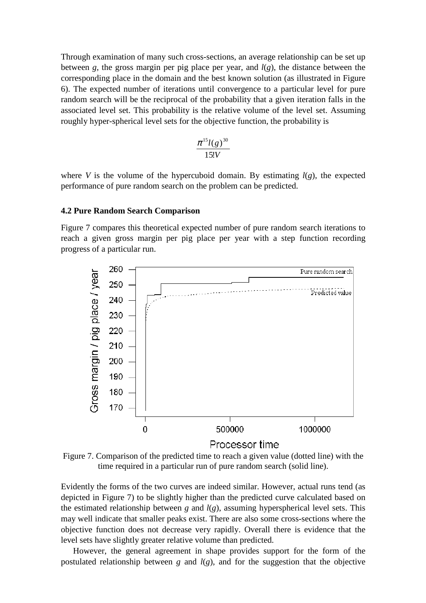Through examination of many such cross-sections, an average relationship can be set up between *g*, the gross margin per pig place per year, and *l*(*g*), the distance between the corresponding place in the domain and the best known solution (as illustrated in Figure 6). The expected number of iterations until convergence to a particular level for pure random search will be the reciprocal of the probability that a given iteration falls in the associated level set. This probability is the relative volume of the level set. Assuming roughly hyper-spherical level sets for the objective function, the probability is

$$
\frac{\pi^{15}l(g)^{30}}{15!V}
$$

where *V* is the volume of the hypercuboid domain. By estimating  $l(g)$ , the expected performance of pure random search on the problem can be predicted.

#### **4.2 Pure Random Search Comparison**

Figure 7 compares this theoretical expected number of pure random search iterations to reach a given gross margin per pig place per year with a step function recording progress of a particular run.



Figure 7. Comparison of the predicted time to reach a given value (dotted line) with the time required in a particular run of pure random search (solid line).

Evidently the forms of the two curves are indeed similar. However, actual runs tend (as depicted in Figure 7) to be slightly higher than the predicted curve calculated based on the estimated relationship between *g* and  $l(g)$ , assuming hyperspherical level sets. This may well indicate that smaller peaks exist. There are also some cross-sections where the objective function does not decrease very rapidly. Overall there is evidence that the level sets have slightly greater relative volume than predicted.

However, the general agreement in shape provides support for the form of the postulated relationship between *g* and  $l(g)$ , and for the suggestion that the objective